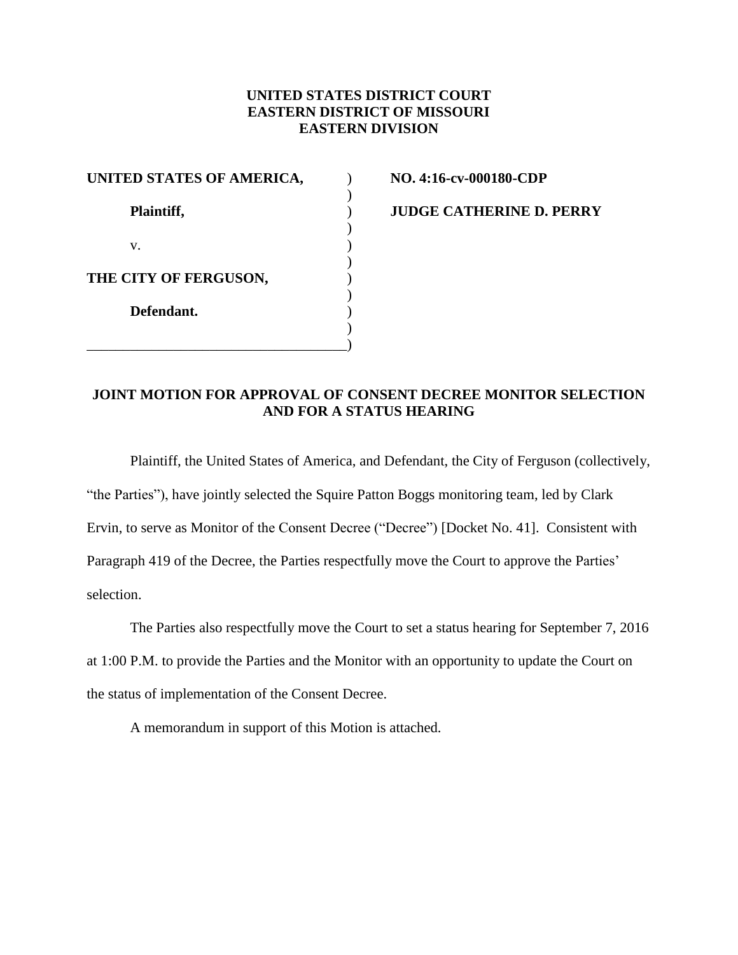## **UNITED STATES DISTRICT COURT EASTERN DISTRICT OF MISSOURI EASTERN DIVISION**

| UNITED STATES OF AMERICA, |  |
|---------------------------|--|
| Plaintiff,                |  |
| $V_{-}$                   |  |
| THE CITY OF FERGUSON,     |  |
| Defendant.                |  |
|                           |  |

**UNITED STATES OF AMERICA,** ) **NO. 4:16-cv-000180-CDP**

**Plaintiff,** ) **JUDGE CATHERINE D. PERRY**

## **JOINT MOTION FOR APPROVAL OF CONSENT DECREE MONITOR SELECTION AND FOR A STATUS HEARING**

Plaintiff, the United States of America, and Defendant, the City of Ferguson (collectively, "the Parties"), have jointly selected the Squire Patton Boggs monitoring team, led by Clark Ervin, to serve as Monitor of the Consent Decree ("Decree") [Docket No. 41]. Consistent with Paragraph 419 of the Decree, the Parties respectfully move the Court to approve the Parties' selection.

The Parties also respectfully move the Court to set a status hearing for September 7, 2016 at 1:00 P.M. to provide the Parties and the Monitor with an opportunity to update the Court on the status of implementation of the Consent Decree.

A memorandum in support of this Motion is attached.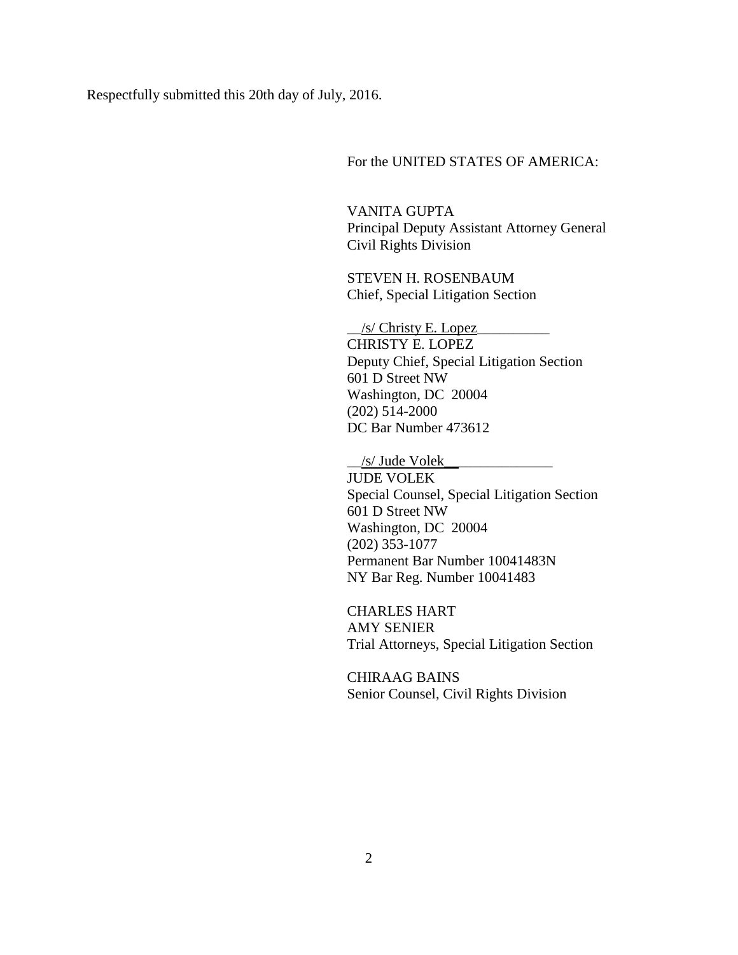Respectfully submitted this 20th day of July, 2016.

For the UNITED STATES OF AMERICA:

VANITA GUPTA Principal Deputy Assistant Attorney General Civil Rights Division

STEVEN H. ROSENBAUM Chief, Special Litigation Section

 $\frac{1}{s}$  Christy E. Lopez CHRISTY E. LOPEZ Deputy Chief, Special Litigation Section 601 D Street NW Washington, DC 20004 (202) 514-2000 DC Bar Number 473612

 $\frac{1}{s}$  Jude Volek JUDE VOLEK Special Counsel, Special Litigation Section 601 D Street NW Washington, DC 20004 (202) 353-1077 Permanent Bar Number 10041483N NY Bar Reg. Number 10041483

CHARLES HART AMY SENIER Trial Attorneys, Special Litigation Section

CHIRAAG BAINS Senior Counsel, Civil Rights Division